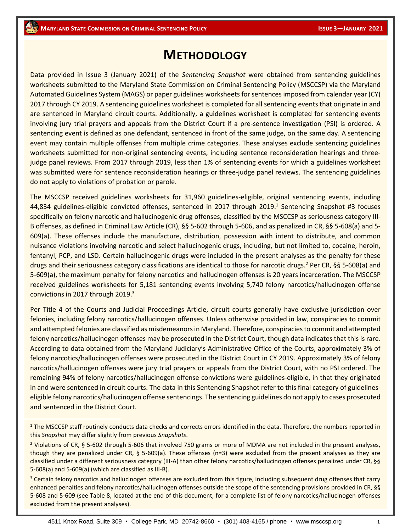## **METHODOLOGY**

Data provided in Issue 3 (January 2021) of the *Sentencing Snapshot* were obtained from sentencing guidelines worksheets submitted to the Maryland State Commission on Criminal Sentencing Policy (MSCCSP) via the Maryland Automated Guidelines System (MAGS) or paper guidelines worksheets for sentences imposed from calendar year (CY) 2017 through CY 2019. A sentencing guidelines worksheet is completed for all sentencing events that originate in and are sentenced in Maryland circuit courts. Additionally, a guidelines worksheet is completed for sentencing events involving jury trial prayers and appeals from the District Court if a pre-sentence investigation (PSI) is ordered. A sentencing event is defined as one defendant, sentenced in front of the same judge, on the same day. A sentencing event may contain multiple offenses from multiple crime categories. These analyses exclude sentencing guidelines worksheets submitted for non-original sentencing events, including sentence reconsideration hearings and threejudge panel reviews. From 2017 through 2019, less than 1% of sentencing events for which a guidelines worksheet was submitted were for sentence reconsideration hearings or three-judge panel reviews. The sentencing guidelines do not apply to violations of probation or parole.

The MSCCSP received guidelines worksheets for 31,960 guidelines-eligible, original sentencing events, including 44,834 guidelines-eligible convicted offenses, sentenced in 2017 through 2019.<sup>1</sup> Sentencing Snapshot #3 focuses specifically on felony narcotic and hallucinogenic drug offenses, classified by the MSCCSP as seriousness category III-B offenses, as defined in Criminal Law Article (CR), §§ 5-602 through 5-606, and as penalized in CR, §§ 5-608(a) and 5- 609(a). These offenses include the manufacture, distribution, possession with intent to distribute, and common nuisance violations involving narcotic and select hallucinogenic drugs, including, but not limited to, cocaine, heroin, fentanyl, PCP, and LSD. Certain hallucinogenic drugs were included in the present analyses as the penalty for these drugs and their seriousness category classifications are identical to those for narcotic drugs.<sup>2</sup> Per CR, §§ 5-608(a) and 5-609(a), the maximum penalty for felony narcotics and hallucinogen offenses is 20 years incarceration. The MSCCSP received guidelines worksheets for 5,181 sentencing events involving 5,740 felony narcotics/hallucinogen offense convictions in 2017 through 2019.<sup>3</sup>

Per Title 4 of the Courts and Judicial Proceedings Article, circuit courts generally have exclusive jurisdiction over felonies, including felony narcotics/hallucinogen offenses. Unless otherwise provided in law, conspiracies to commit and attempted felonies are classified as misdemeanors in Maryland. Therefore, conspiracies to commit and attempted felony narcotics/hallucinogen offenses may be prosecuted in the District Court, though data indicates that this is rare. According to data obtained from the Maryland Judiciary's Administrative Office of the Courts, approximately 3% of felony narcotics/hallucinogen offenses were prosecuted in the District Court in CY 2019. Approximately 3% of felony narcotics/hallucinogen offenses were jury trial prayers or appeals from the District Court, with no PSI ordered. The remaining 94% of felony narcotics/hallucinogen offense convictions were guidelines-eligible, in that they originated in and were sentenced in circuit courts. The data in this Sentencing Snapshot refer to this final category of guidelineseligible felony narcotics/hallucinogen offense sentencings. The sentencing guidelines do not apply to cases prosecuted and sentenced in the District Court.

<sup>&</sup>lt;sup>1</sup> The MSCCSP staff routinely conducts data checks and corrects errors identified in the data. Therefore, the numbers reported in this *Snapshot* may differ slightly from previous *Snapshots*.

<sup>&</sup>lt;sup>2</sup> Violations of CR, § 5-602 through 5-606 that involved 750 grams or more of MDMA are not included in the present analyses, though they are penalized under CR, § 5-609(a). These offenses (n=3) were excluded from the present analyses as they are classified under a different seriousness category (III-A) than other felony narcotics/hallucinogen offenses penalized under CR, §§ 5-608(a) and 5-609(a) (which are classified as III-B).

<sup>&</sup>lt;sup>3</sup> Certain felony narcotics and hallucinogen offenses are excluded from this figure, including subsequent drug offenses that carry enhanced penalties and felony narcotics/hallucinogen offenses outside the scope of the sentencing provisions provided in CR, §§ 5-608 and 5-609 (see Table 8, located at the end of this document, for a complete list of felony narcotics/hallucinogen offenses excluded from the present analyses).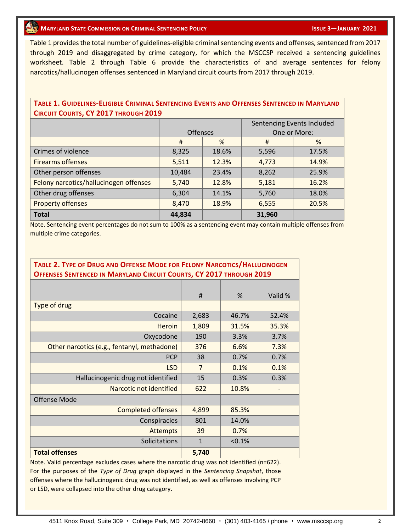#### **10 ISSUE 3**—**JANUARY 2021**

Table 1 provides the total number of guidelines-eligible criminal sentencing events and offenses, sentenced from 2017 through 2019 and disaggregated by crime category, for which the MSCCSP received a sentencing guidelines worksheet. Table 2 through Table 6 provide the characteristics of and average sentences for felony narcotics/hallucinogen offenses sentenced in Maryland circuit courts from 2017 through 2019.

#### **TABLE 1. GUIDELINES-ELIGIBLE CRIMINAL SENTENCING EVENTS AND OFFENSES SENTENCED IN MARYLAND CIRCUIT COURTS, CY 2017 THROUGH 2019**

|                                        |                 |       | Sentencing Events Included |       |  |
|----------------------------------------|-----------------|-------|----------------------------|-------|--|
|                                        | <b>Offenses</b> |       | One or More:               |       |  |
|                                        | #               | %     | #                          | %     |  |
| Crimes of violence                     | 8,325           | 18.6% | 5,596                      | 17.5% |  |
| <b>Firearms offenses</b>               | 5,511           | 12.3% | 4,773                      | 14.9% |  |
| Other person offenses                  | 10,484          | 23.4% | 8,262                      | 25.9% |  |
| Felony narcotics/hallucinogen offenses | 5,740           | 12.8% | 5,181                      | 16.2% |  |
| Other drug offenses                    | 6,304           | 14.1% | 5,760                      | 18.0% |  |
| <b>Property offenses</b>               | 8,470           | 18.9% | 6,555                      | 20.5% |  |
| <b>Total</b>                           | 44,834          |       | 31,960                     |       |  |

Note. Sentencing event percentages do not sum to 100% as a sentencing event may contain multiple offenses from multiple crime categories.

#### **TABLE 2. TYPE OF DRUG AND OFFENSE MODE FOR FELONY NARCOTICS/HALLUCINOGEN OFFENSES SENTENCED IN MARYLAND CIRCUIT COURTS, CY 2017 THROUGH 2019**

|                                             | #              | %      | Valid % |
|---------------------------------------------|----------------|--------|---------|
| Type of drug                                |                |        |         |
| Cocaine                                     | 2,683          | 46.7%  | 52.4%   |
| <b>Heroin</b>                               | 1,809          | 31.5%  | 35.3%   |
| Oxycodone                                   | 190            | 3.3%   | 3.7%    |
| Other narcotics (e.g., fentanyl, methadone) | 376            | 6.6%   | 7.3%    |
| <b>PCP</b>                                  | 38             | 0.7%   | 0.7%    |
| <b>LSD</b>                                  | $\overline{7}$ | 0.1%   | 0.1%    |
| Hallucinogenic drug not identified          | 15             | 0.3%   | 0.3%    |
| Narcotic not identified                     | 622            | 10.8%  |         |
| <b>Offense Mode</b>                         |                |        |         |
| <b>Completed offenses</b>                   | 4,899          | 85.3%  |         |
| Conspiracies                                | 801            | 14.0%  |         |
| <b>Attempts</b>                             | 39             | 0.7%   |         |
| Solicitations                               | $\mathbf{1}$   | < 0.1% |         |
| <b>Total offenses</b>                       | 5,740          |        |         |

Note. Valid percentage excludes cases where the narcotic drug was not identified (n=622). For the purposes of the *Type of Drug* graph displayed in the *Sentencing Snapshot*, those offenses where the hallucinogenic drug was not identified, as well as offenses involving PCP or LSD, were collapsed into the other drug category.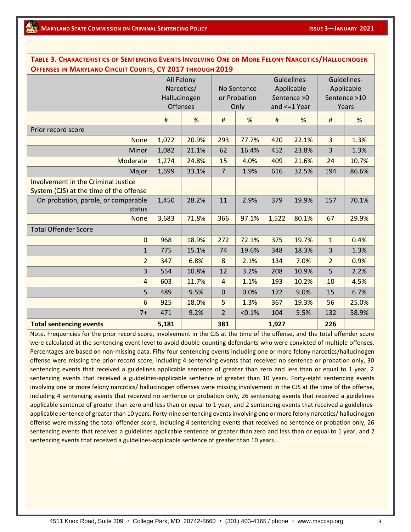| TABLE 3. CHARACTERISTICS OF SENTENCING EVENTS INVOLVING ONE OR IVIORE FELONY INARCOTICS/ HALLOCINOGEN<br>OFFENSES IN MARYLAND CIRCUIT COURTS, CY 2017 THROUGH 2019 |                 |              |                |        |                |             |                |             |  |
|--------------------------------------------------------------------------------------------------------------------------------------------------------------------|-----------------|--------------|----------------|--------|----------------|-------------|----------------|-------------|--|
|                                                                                                                                                                    | All Felony      |              |                |        |                | Guidelines- |                | Guidelines- |  |
|                                                                                                                                                                    | Narcotics/      |              | No Sentence    |        | Applicable     |             | Applicable     |             |  |
|                                                                                                                                                                    |                 | Hallucinogen | or Probation   |        | Sentence > 0   |             | Sentence >10   |             |  |
|                                                                                                                                                                    | <b>Offenses</b> |              | Only           |        | and $<=1$ Year |             | Years          |             |  |
|                                                                                                                                                                    | $\sharp$        | %            | $\sharp$       | %      | #              | %           | $\#$           | %           |  |
| Prior record score                                                                                                                                                 |                 |              |                |        |                |             |                |             |  |
| <b>None</b>                                                                                                                                                        | 1,072           | 20.9%        | 293            | 77.7%  | 420            | 22.1%       | $\overline{3}$ | 1.3%        |  |
| Minor                                                                                                                                                              | 1,082           | 21.1%        | 62             | 16.4%  | 452            | 23.8%       | 3              | 1.3%        |  |
| Moderate                                                                                                                                                           | 1,274           | 24.8%        | 15             | 4.0%   | 409            | 21.6%       | 24             | 10.7%       |  |
| Major                                                                                                                                                              | 1,699           | 33.1%        | $\overline{7}$ | 1.9%   | 616            | 32.5%       | 194            | 86.6%       |  |
| <b>Involvement in the Criminal Justice</b><br>System (CJS) at the time of the offense                                                                              |                 |              |                |        |                |             |                |             |  |
| On probation, parole, or comparable<br>status                                                                                                                      | 1,450           | 28.2%        | 11             | 2.9%   | 379            | 19.9%       | 157            | 70.1%       |  |
| <b>None</b>                                                                                                                                                        | 3,683           | 71.8%        | 366            | 97.1%  | 1,522          | 80.1%       | 67             | 29.9%       |  |
| <b>Total Offender Score</b>                                                                                                                                        |                 |              |                |        |                |             |                |             |  |
| $\mathbf{0}$                                                                                                                                                       | 968             | 18.9%        | 272            | 72.1%  | 375            | 19.7%       | $\mathbf{1}$   | 0.4%        |  |
| $\mathbf{1}$                                                                                                                                                       | 775             | 15.1%        | 74             | 19.6%  | 348            | 18.3%       | 3              | 1.3%        |  |
| $\overline{2}$                                                                                                                                                     | 347             | 6.8%         | 8              | 2.1%   | 134            | 7.0%        | $\overline{2}$ | 0.9%        |  |
| 3                                                                                                                                                                  | 554             | 10.8%        | 12             | 3.2%   | 208            | 10.9%       | 5              | 2.2%        |  |
| $\overline{4}$                                                                                                                                                     | 603             | 11.7%        | $\overline{4}$ | 1.1%   | 193            | 10.2%       | 10             | 4.5%        |  |
| 5                                                                                                                                                                  | 489             | 9.5%         | $\mathbf 0$    | 0.0%   | 172            | 9.0%        | 15             | 6.7%        |  |
| 6                                                                                                                                                                  | 925             | 18.0%        | 5              | 1.3%   | 367            | 19.3%       | 56             | 25.0%       |  |
| $7+$                                                                                                                                                               | 471             | 9.2%         | $\overline{2}$ | < 0.1% | 104            | 5.5%        | 132            | 58.9%       |  |
| <b>Total sentencing events</b>                                                                                                                                     | 5,181           |              | 381            |        | 1,927          |             | 226            |             |  |

TABLE 3. CHARACTERISTICS OF SENTENCING EVENTS INVOLVING ONE OR MORE FELONY NARCOTICS/HALLICINOGEN

Note. Frequencies for the prior record score, involvement in the CJS at the time of the offense, and the total offender score were calculated at the sentencing event level to avoid double-counting defendants who were convicted of multiple offenses. Percentages are based on non-missing data. Fifty-four sentencing events including one or more felony narcotics/hallucinogen offense were missing the prior record score, including 4 sentencing events that received no sentence or probation only, 30 sentencing events that received a guidelines applicable sentence of greater than zero and less than or equal to 1 year, 2 sentencing events that received a guidelines-applicable sentence of greater than 10 years. Forty-eight sentencing events involving one or more felony narcotics/ hallucinogen offenses were missing involvement in the CJS at the time of the offense, including 4 sentencing events that received no sentence or probation only, 26 sentencing events that received a guidelines applicable sentence of greater than zero and less than or equal to 1 year, and 2 sentencing events that received a guidelinesapplicable sentence of greater than 10 years. Forty-nine sentencing events involving one or more felony narcotics/ hallucinogen offense were missing the total offender score, including 4 sentencing events that received no sentence or probation only, 26 sentencing events that received a guidelines applicable sentence of greater than zero and less than or equal to 1 year, and 2 sentencing events that received a guidelines-applicable sentence of greater than 10 years.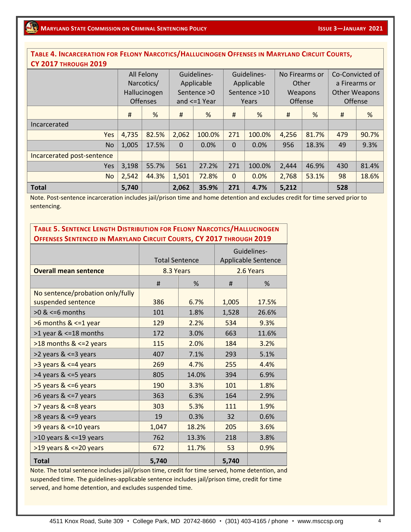#### TABLE 4. INCARCERATION FOR FELONY NARCOTICS/HALLUCINOGEN OFFENSES IN MARYLAND CIRCUIT COURTS, **CY 2017 THROUGH 2019**

|                            |       | All Felony<br>Narcotics/ |          | Guidelines-<br>Applicable |          | Guidelines-<br>Applicable | No Firearms or<br>Other |         | Co-Convicted of<br>a Firearms or |       |
|----------------------------|-------|--------------------------|----------|---------------------------|----------|---------------------------|-------------------------|---------|----------------------------------|-------|
|                            |       | Hallucinogen             |          | Sentence $>0$             |          | Sentence >10              |                         | Weapons | <b>Other Weapons</b>             |       |
|                            |       |                          |          |                           |          |                           |                         |         |                                  |       |
|                            |       | <b>Offenses</b>          |          | and $\leq$ 1 Year         |          | Years                     | Offense                 |         | Offense                          |       |
|                            | #     | %                        | Ħ        | %                         | Ħ        | %                         | #                       | %       | #                                | %     |
| Incarcerated               |       |                          |          |                           |          |                           |                         |         |                                  |       |
| Yes                        | 4,735 | 82.5%                    | 2,062    | 100.0%                    | 271      | 100.0%                    | 4,256                   | 81.7%   | 479                              | 90.7% |
| <b>No</b>                  | 1,005 | 17.5%                    | $\Omega$ | 0.0%                      | $\Omega$ | 0.0%                      | 956                     | 18.3%   | 49                               | 9.3%  |
| Incarcerated post-sentence |       |                          |          |                           |          |                           |                         |         |                                  |       |
| Yes                        | 3,198 | 55.7%                    | 561      | 27.2%                     | 271      | 100.0%                    | 2,444                   | 46.9%   | 430                              | 81.4% |
| <b>No</b>                  | 2,542 | 44.3%                    | 1,501    | 72.8%                     | $\Omega$ | 0.0%                      | 2,768                   | 53.1%   | 98                               | 18.6% |
| <b>Total</b>               | 5,740 |                          | 2,062    | 35.9%                     | 271      | 4.7%                      | 5,212                   |         | 528                              |       |

Note. Post-sentence incarceration includes jail/prison time and home detention and excludes credit for time served prior to sentencing.

### **TABLE 5. SENTENCE LENGTH DISTRIBUTION FOR FELONY NARCOTICS/HALLUCINOGEN OFFENSES SENTENCED IN MARYLAND CIRCUIT COURTS, CY 2017 THROUGH 2019**

|                                                        | <b>Total Sentence</b> |       | Guidelines-<br>Applicable Sentence |       |  |
|--------------------------------------------------------|-----------------------|-------|------------------------------------|-------|--|
| <b>Overall mean sentence</b>                           | 8.3 Years             |       | 2.6 Years                          |       |  |
|                                                        |                       |       |                                    |       |  |
|                                                        | #                     | %     | #                                  | %     |  |
| No sentence/probation only/fully<br>suspended sentence | 386                   | 6.7%  | 1,005                              | 17.5% |  |
| $>0$ & $<=6$ months                                    | 101                   | 1.8%  | 1,528                              | 26.6% |  |
| >6 months & <=1 year                                   | 129                   | 2.2%  | 534                                | 9.3%  |  |
| $>1$ year & $\leq$ =18 months                          | 172                   | 3.0%  | 663                                | 11.6% |  |
| $>18$ months & $<=2$ years                             | 115                   | 2.0%  | 184                                | 3.2%  |  |
| >2 years & <=3 years                                   | 407                   | 7.1%  | 293                                | 5.1%  |  |
| >3 years & <=4 years                                   | 269                   | 4.7%  | 255                                | 4.4%  |  |
| >4 years & <=5 years                                   | 805                   | 14.0% | 394                                | 6.9%  |  |
| >5 years & <=6 years                                   | 190                   | 3.3%  | 101                                | 1.8%  |  |
| >6 years & <=7 years                                   | 363                   | 6.3%  | 164                                | 2.9%  |  |
| >7 years & <=8 years                                   | 303                   | 5.3%  | 111                                | 1.9%  |  |
| >8 years & <=9 years                                   | 19                    | 0.3%  | 32                                 | 0.6%  |  |
| >9 years & <=10 years                                  | 1,047                 | 18.2% | 205                                | 3.6%  |  |
| $>10$ years & $\leq$ =19 years                         | 762                   | 13.3% | 218                                | 3.8%  |  |
| $>19$ years & $<=$ 20 years                            | 672                   | 11.7% | 53                                 | 0.9%  |  |
| <b>Total</b>                                           | 5,740                 |       | 5,740                              |       |  |

Note. The total sentence includes jail/prison time, credit for time served, home detention, and suspended time. The guidelines-applicable sentence includes jail/prison time, credit for time served, and home detention, and excludes suspended time.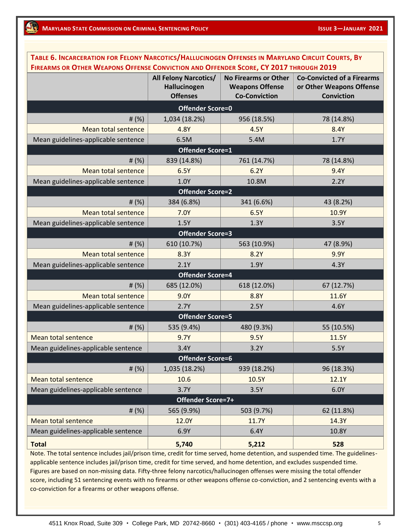**Total 5,740 5,212 528**

| TABLE 6. INCARCERATION FOR FELONY NARCOTICS/HALLUCINOGEN OFFENSES IN MARYLAND CIRCUIT COURTS, BY |                              |                             |                                   |  |  |  |  |  |
|--------------------------------------------------------------------------------------------------|------------------------------|-----------------------------|-----------------------------------|--|--|--|--|--|
| FIREARMS OR OTHER WEAPONS OFFENSE CONVICTION AND OFFENDER SCORE, CY 2017 THROUGH 2019            |                              |                             |                                   |  |  |  |  |  |
|                                                                                                  | <b>All Felony Narcotics/</b> | <b>No Firearms or Other</b> | <b>Co-Convicted of a Firearms</b> |  |  |  |  |  |
|                                                                                                  | Hallucinogen                 | <b>Weapons Offense</b>      | or Other Weapons Offense          |  |  |  |  |  |
|                                                                                                  | <b>Offenses</b>              | <b>Co-Conviction</b>        | <b>Conviction</b>                 |  |  |  |  |  |
| <b>Offender Score=0</b>                                                                          |                              |                             |                                   |  |  |  |  |  |
| # $(%)$                                                                                          | 1,034 (18.2%)                | 956 (18.5%)                 | 78 (14.8%)                        |  |  |  |  |  |
| <b>Mean total sentence</b>                                                                       | 4.8Y                         | 4.5Y                        | 8.4Y                              |  |  |  |  |  |
| Mean guidelines-applicable sentence                                                              | 6.5M                         | 5.4M                        | 1.7Y                              |  |  |  |  |  |
|                                                                                                  | <b>Offender Score=1</b>      |                             |                                   |  |  |  |  |  |
| # $(%)$                                                                                          | 839 (14.8%)                  | 761 (14.7%)                 | 78 (14.8%)                        |  |  |  |  |  |
| <b>Mean total sentence</b>                                                                       | 6.5Y                         | 6.2Y                        | 9.4Y                              |  |  |  |  |  |
| Mean guidelines-applicable sentence                                                              | 1.0Y                         | 10.8M                       | 2.2Y                              |  |  |  |  |  |
|                                                                                                  | <b>Offender Score=2</b>      |                             |                                   |  |  |  |  |  |
| # $(%)$                                                                                          | 384 (6.8%)                   | 341 (6.6%)                  | 43 (8.2%)                         |  |  |  |  |  |
| <b>Mean total sentence</b>                                                                       | 7.0Y                         | 6.5Y                        | 10.9Y                             |  |  |  |  |  |
| Mean guidelines-applicable sentence                                                              | 1.5Y                         | 1.3Y                        | 3.5Y                              |  |  |  |  |  |
| <b>Offender Score=3</b>                                                                          |                              |                             |                                   |  |  |  |  |  |
| # $(%)$                                                                                          | 610 (10.7%)                  | 563 (10.9%)                 | 47 (8.9%)                         |  |  |  |  |  |
| <b>Mean total sentence</b>                                                                       | 8.3Y                         | 8.2Y                        | 9.9Y                              |  |  |  |  |  |
| Mean guidelines-applicable sentence                                                              | 2.1Y                         | 1.9Y                        | 4.3Y                              |  |  |  |  |  |
| <b>Offender Score=4</b>                                                                          |                              |                             |                                   |  |  |  |  |  |
| # $(%)$                                                                                          | 685 (12.0%)                  | 618 (12.0%)                 | 67 (12.7%)                        |  |  |  |  |  |
| <b>Mean total sentence</b>                                                                       | 9.0Y                         | 8.8Y                        | 11.6Y                             |  |  |  |  |  |
| Mean guidelines-applicable sentence                                                              | 2.7Y                         | 2.5Y                        | 4.6Y                              |  |  |  |  |  |
|                                                                                                  | <b>Offender Score=5</b>      |                             |                                   |  |  |  |  |  |
| # $(%)$                                                                                          | 535 (9.4%)                   | 480 (9.3%)                  | 55 (10.5%)                        |  |  |  |  |  |
| <b>Mean total sentence</b>                                                                       | 9.7Y                         | 9.5Y                        | 11.5Y                             |  |  |  |  |  |
| Mean guidelines-applicable sentence                                                              | 3.4Y                         | 3.2Y                        | 5.5Y                              |  |  |  |  |  |
|                                                                                                  | <b>Offender Score=6</b>      |                             |                                   |  |  |  |  |  |
| # $(%)$                                                                                          | 1,035 (18.2%)                | 939 (18.2%)                 | 96 (18.3%)                        |  |  |  |  |  |
| <b>Mean total sentence</b>                                                                       | 10.6                         | 10.5Y                       | 12.1Y                             |  |  |  |  |  |
| Mean guidelines-applicable sentence                                                              | 3.7Y                         | 3.5Y                        | 6.0Y                              |  |  |  |  |  |
|                                                                                                  | Offender Score=7+            |                             |                                   |  |  |  |  |  |
| # $(%)$                                                                                          | 565 (9.9%)                   | 503 (9.7%)                  | 62 (11.8%)                        |  |  |  |  |  |
| <b>Mean total sentence</b>                                                                       | 12.0Y                        | 11.7Y                       | 14.3Y                             |  |  |  |  |  |
| Mean guidelines-applicable sentence                                                              | 6.9Y                         | 6.4Y                        | 10.8Y                             |  |  |  |  |  |
|                                                                                                  |                              |                             |                                   |  |  |  |  |  |

Note. The total sentence includes jail/prison time, credit for time served, home detention, and suspended time. The guidelinesapplicable sentence includes jail/prison time, credit for time served, and home detention, and excludes suspended time. Figures are based on non-missing data. Fifty-three felony narcotics/hallucinogen offenses were missing the total offender score, including 51 sentencing events with no firearms or other weapons offense co-conviction, and 2 sentencing events with a co-conviction for a firearms or other weapons offense.